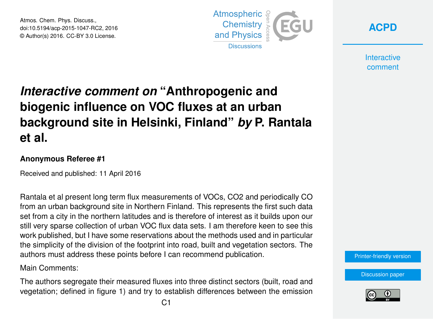Atmos. Chem. Phys. Discuss., doi:10.5194/acp-2015-1047-RC2, 2016 © Author(s) 2016. CC-BY 3.0 License.



**[ACPD](http://www.atmos-chem-phys-discuss.net/)**

**Interactive** comment

# *Interactive comment on* **"Anthropogenic and biogenic influence on VOC fluxes at an urban background site in Helsinki, Finland"** *by* **P. Rantala et al.**

#### **Anonymous Referee #1**

Received and published: 11 April 2016

Rantala et al present long term flux measurements of VOCs, CO2 and periodically CO from an urban background site in Northern Finland. This represents the first such data set from a city in the northern latitudes and is therefore of interest as it builds upon our still very sparse collection of urban VOC flux data sets. I am therefore keen to see this work published, but I have some reservations about the methods used and in particular the simplicity of the division of the footprint into road, built and vegetation sectors. The authors must address these points before I can recommend publication.

Main Comments:

The authors segregate their measured fluxes into three distinct sectors (built, road and vegetation; defined in figure 1) and try to establish differences between the emission



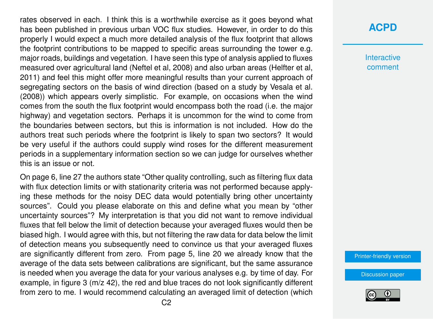rates observed in each. I think this is a worthwhile exercise as it goes beyond what has been published in previous urban VOC flux studies. However, in order to do this properly I would expect a much more detailed analysis of the flux footprint that allows the footprint contributions to be mapped to specific areas surrounding the tower e.g. major roads, buildings and vegetation. I have seen this type of analysis applied to fluxes measured over agricultural land (Neftel et al, 2008) and also urban areas (Helfter et al, 2011) and feel this might offer more meaningful results than your current approach of segregating sectors on the basis of wind direction (based on a study by Vesala et al. (2008)) which appears overly simplistic. For example, on occasions when the wind comes from the south the flux footprint would encompass both the road (i.e. the major highway) and vegetation sectors. Perhaps it is uncommon for the wind to come from the boundaries between sectors, but this is information is not included. How do the authors treat such periods where the footprint is likely to span two sectors? It would be very useful if the authors could supply wind roses for the different measurement periods in a supplementary information section so we can judge for ourselves whether this is an issue or not.

On page 6, line 27 the authors state "Other quality controlling, such as filtering flux data with flux detection limits or with stationarity criteria was not performed because applying these methods for the noisy DEC data would potentially bring other uncertainty sources". Could you please elaborate on this and define what you mean by "other uncertainty sources"? My interpretation is that you did not want to remove individual fluxes that fell below the limit of detection because your averaged fluxes would then be biased high. I would agree with this, but not filtering the raw data for data below the limit of detection means you subsequently need to convince us that your averaged fluxes are significantly different from zero. From page 5, line 20 we already know that the average of the data sets between calibrations are significant, but the same assurance is needed when you average the data for your various analyses e.g. by time of day. For example, in figure 3 (m/z 42), the red and blue traces do not look significantly different from zero to me. I would recommend calculating an averaged limit of detection (which

### **[ACPD](http://www.atmos-chem-phys-discuss.net/)**

**Interactive** comment

[Printer-friendly version](http://www.atmos-chem-phys-discuss.net/acp-2015-1047/acp-2015-1047-RC2-print.pdf)

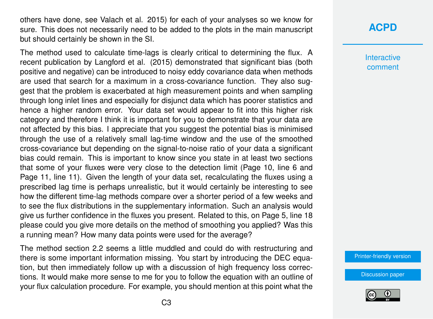others have done, see Valach et al. 2015) for each of your analyses so we know for sure. This does not necessarily need to be added to the plots in the main manuscript but should certainly be shown in the SI.

The method used to calculate time-lags is clearly critical to determining the flux. A recent publication by Langford et al. (2015) demonstrated that significant bias (both positive and negative) can be introduced to noisy eddy covariance data when methods are used that search for a maximum in a cross-covariance function. They also suggest that the problem is exacerbated at high measurement points and when sampling through long inlet lines and especially for disjunct data which has poorer statistics and hence a higher random error. Your data set would appear to fit into this higher risk category and therefore I think it is important for you to demonstrate that your data are not affected by this bias. I appreciate that you suggest the potential bias is minimised through the use of a relatively small lag-time window and the use of the smoothed cross-covariance but depending on the signal-to-noise ratio of your data a significant bias could remain. This is important to know since you state in at least two sections that some of your fluxes were very close to the detection limit (Page 10, line 6 and Page 11, line 11). Given the length of your data set, recalculating the fluxes using a prescribed lag time is perhaps unrealistic, but it would certainly be interesting to see how the different time-lag methods compare over a shorter period of a few weeks and to see the flux distributions in the supplementary information. Such an analysis would give us further confidence in the fluxes you present. Related to this, on Page 5, line 18 please could you give more details on the method of smoothing you applied? Was this a running mean? How many data points were used for the average?

The method section 2.2 seems a little muddled and could do with restructuring and there is some important information missing. You start by introducing the DEC equation, but then immediately follow up with a discussion of high frequency loss corrections. It would make more sense to me for you to follow the equation with an outline of your flux calculation procedure. For example, you should mention at this point what the

# **[ACPD](http://www.atmos-chem-phys-discuss.net/)**

**Interactive** comment

[Printer-friendly version](http://www.atmos-chem-phys-discuss.net/acp-2015-1047/acp-2015-1047-RC2-print.pdf)

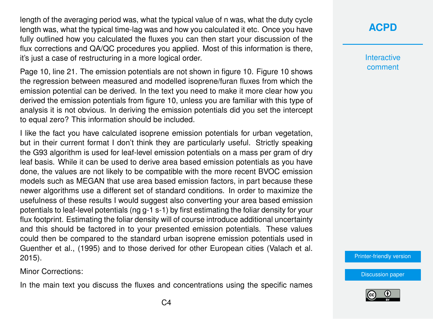length of the averaging period was, what the typical value of n was, what the duty cycle length was, what the typical time-lag was and how you calculated it etc. Once you have fully outlined how you calculated the fluxes you can then start your discussion of the flux corrections and QA/QC procedures you applied. Most of this information is there, it's just a case of restructuring in a more logical order.

Page 10, line 21. The emission potentials are not shown in figure 10. Figure 10 shows the regression between measured and modelled isoprene/furan fluxes from which the emission potential can be derived. In the text you need to make it more clear how you derived the emission potentials from figure 10, unless you are familiar with this type of analysis it is not obvious. In deriving the emission potentials did you set the intercept to equal zero? This information should be included.

I like the fact you have calculated isoprene emission potentials for urban vegetation, but in their current format I don't think they are particularly useful. Strictly speaking the G93 algorithm is used for leaf-level emission potentials on a mass per gram of dry leaf basis. While it can be used to derive area based emission potentials as you have done, the values are not likely to be compatible with the more recent BVOC emission models such as MEGAN that use area based emission factors, in part because these newer algorithms use a different set of standard conditions. In order to maximize the usefulness of these results I would suggest also converting your area based emission potentials to leaf-level potentials (ng g-1 s-1) by first estimating the foliar density for your flux footprint. Estimating the foliar density will of course introduce additional uncertainty and this should be factored in to your presented emission potentials. These values could then be compared to the standard urban isoprene emission potentials used in Guenther et al., (1995) and to those derived for other European cities (Valach et al. 2015).

Minor Corrections:

In the main text you discuss the fluxes and concentrations using the specific names

# **[ACPD](http://www.atmos-chem-phys-discuss.net/)**

**Interactive** comment

[Printer-friendly version](http://www.atmos-chem-phys-discuss.net/acp-2015-1047/acp-2015-1047-RC2-print.pdf)

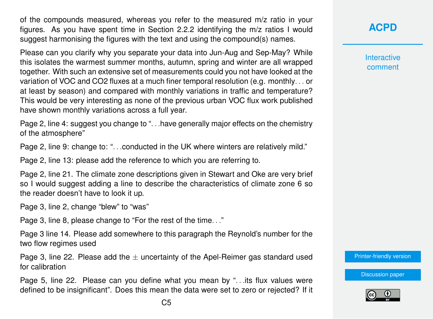of the compounds measured, whereas you refer to the measured m/z ratio in your figures. As you have spent time in Section 2.2.2 identifying the m/z ratios I would suggest harmonising the figures with the text and using the compound(s) names.

Please can you clarify why you separate your data into Jun-Aug and Sep-May? While this isolates the warmest summer months, autumn, spring and winter are all wrapped together. With such an extensive set of measurements could you not have looked at the variation of VOC and CO2 fluxes at a much finer temporal resolution (e.g. monthly. . . or at least by season) and compared with monthly variations in traffic and temperature? This would be very interesting as none of the previous urban VOC flux work published have shown monthly variations across a full year.

Page 2, line 4: suggest you change to "... have generally major effects on the chemistry of the atmosphere"

Page 2, line 9: change to: ". . .conducted in the UK where winters are relatively mild."

Page 2, line 13: please add the reference to which you are referring to.

Page 2, line 21. The climate zone descriptions given in Stewart and Oke are very brief so I would suggest adding a line to describe the characteristics of climate zone 6 so the reader doesn't have to look it up.

Page 3, line 2, change "blew" to "was"

Page 3, line 8, please change to "For the rest of the time. . ."

Page 3 line 14. Please add somewhere to this paragraph the Reynold's number for the two flow regimes used

Page 3, line 22. Please add the  $\pm$  uncertainty of the Apel-Reimer gas standard used for calibration

Page 5, line 22. Please can you define what you mean by ". . .its flux values were defined to be insignificant". Does this mean the data were set to zero or rejected? If it **[ACPD](http://www.atmos-chem-phys-discuss.net/)**

**Interactive** comment

[Printer-friendly version](http://www.atmos-chem-phys-discuss.net/acp-2015-1047/acp-2015-1047-RC2-print.pdf)

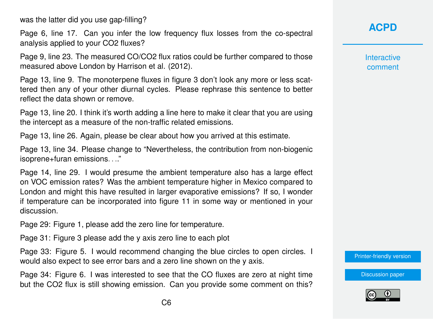was the latter did you use gap-filling?

Page 6, line 17. Can you infer the low frequency flux losses from the co-spectral analysis applied to your CO2 fluxes?

Page 9, line 23. The measured CO/CO2 flux ratios could be further compared to those measured above London by Harrison et al. (2012).

Page 13, line 9. The monoterpene fluxes in figure 3 don't look any more or less scattered then any of your other diurnal cycles. Please rephrase this sentence to better reflect the data shown or remove.

Page 13, line 20. I think it's worth adding a line here to make it clear that you are using the intercept as a measure of the non-traffic related emissions.

Page 13, line 26. Again, please be clear about how you arrived at this estimate.

Page 13, line 34. Please change to "Nevertheless, the contribution from non-biogenic isoprene+furan emissions. . .."

Page 14, line 29. I would presume the ambient temperature also has a large effect on VOC emission rates? Was the ambient temperature higher in Mexico compared to London and might this have resulted in larger evaporative emissions? If so, I wonder if temperature can be incorporated into figure 11 in some way or mentioned in your discussion.

Page 29: Figure 1, please add the zero line for temperature.

Page 31: Figure 3 please add the y axis zero line to each plot

Page 33: Figure 5. I would recommend changing the blue circles to open circles. I would also expect to see error bars and a zero line shown on the y axis.

Page 34: Figure 6. I was interested to see that the CO fluxes are zero at night time but the CO2 flux is still showing emission. Can you provide some comment on this? **[ACPD](http://www.atmos-chem-phys-discuss.net/)**

**Interactive** comment

[Printer-friendly version](http://www.atmos-chem-phys-discuss.net/acp-2015-1047/acp-2015-1047-RC2-print.pdf)

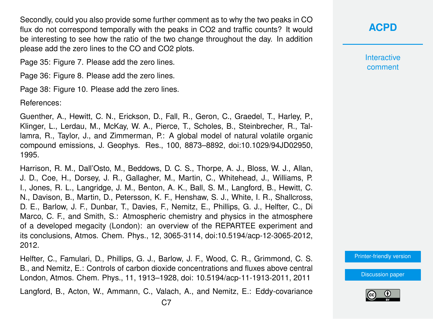Secondly, could you also provide some further comment as to why the two peaks in CO flux do not correspond temporally with the peaks in CO2 and traffic counts? It would be interesting to see how the ratio of the two change throughout the day. In addition please add the zero lines to the CO and CO2 plots.

Page 35: Figure 7. Please add the zero lines.

Page 36: Figure 8. Please add the zero lines.

Page 38: Figure 10. Please add the zero lines.

References:

Guenther, A., Hewitt, C. N., Erickson, D., Fall, R., Geron, C., Graedel, T., Harley, P., Klinger, L., Lerdau, M., McKay, W. A., Pierce, T., Scholes, B., Steinbrecher, R., Tallamra, R., Taylor, J., and Zimmerman, P.: A global model of natural volatile organic compound emissions, J. Geophys. Res., 100, 8873–8892, doi:10.1029/94JD02950, 1995.

Harrison, R. M., Dall'Osto, M., Beddows, D. C. S., Thorpe, A. J., Bloss, W. J., Allan, J. D., Coe, H., Dorsey, J. R., Gallagher, M., Martin, C., Whitehead, J., Williams, P. I., Jones, R. L., Langridge, J. M., Benton, A. K., Ball, S. M., Langford, B., Hewitt, C. N., Davison, B., Martin, D., Petersson, K. F., Henshaw, S. J., White, I. R., Shallcross, D. E., Barlow, J. F., Dunbar, T., Davies, F., Nemitz, E., Phillips, G. J., Helfter, C., Di Marco, C. F., and Smith, S.: Atmospheric chemistry and physics in the atmosphere of a developed megacity (London): an overview of the REPARTEE experiment and its conclusions, Atmos. Chem. Phys., 12, 3065-3114, doi:10.5194/acp-12-3065-2012, 2012.

Helfter, C., Famulari, D., Phillips, G. J., Barlow, J. F., Wood, C. R., Grimmond, C. S. B., and Nemitz, E.: Controls of carbon dioxide concentrations and fluxes above central London, Atmos. Chem. Phys., 11, 1913–1928, doi: 10.5194/acp-11-1913-2011, 2011

Langford, B., Acton, W., Ammann, C., Valach, A., and Nemitz, E.: Eddy-covariance

**Interactive** comment

[Printer-friendly version](http://www.atmos-chem-phys-discuss.net/acp-2015-1047/acp-2015-1047-RC2-print.pdf)